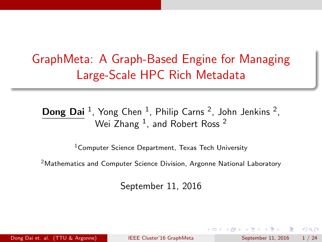# GraphMeta: A Graph-Based Engine for Managing Large-Scale HPC Rich Metadata

#### **Dong Dai** <sup>1</sup>, Yong Chen <sup>1</sup>, Philip Carns <sup>2</sup>, John Jenkins <sup>2</sup>, Wei Zhang  $^1$ , and Robert Ross  $^2$

<sup>1</sup> Computer Science Department. Texas Tech University

<sup>2</sup>Mathematics and Computer Science Division, Argonne National Laboratory

<span id="page-0-0"></span>September 11, 2016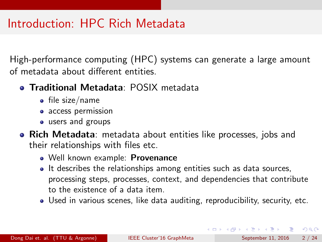# Introduction: HPC Rich Metadata

High-performance computing (HPC) systems can generate a large amount of metadata about different entities.

- **Traditional Metadata**: POSIX metadata
	- $\bullet$  file size/name
	- access permission
	- users and groups
- <span id="page-1-0"></span>• Rich Metadata: metadata about entities like processes, jobs and their relationships with files etc.
	- Well known example: **Provenance**
	- It describes the relationships among entities such as data sources, processing steps, processes, context, and dependencies that contribute to the existence of a data item.
	- Used in various scenes, like data auditing, reproducibility, security, etc.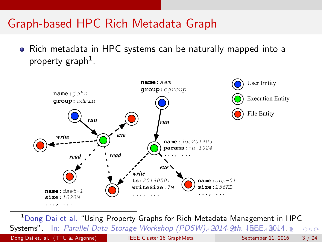## Graph-based HPC Rich Metadata Graph

Rich metadata in HPC systems can be naturally mapped into a property graph<sup>1</sup>.



<span id="page-2-0"></span><sup>1</sup>Dong Dai et al. "Using Property Graphs for Rich Metadata Management in HPC Systems". In: Parallel Data Storage Workshop (PDSW[\), 2](#page-1-0)[01](#page-23-0)[4](#page-1-0) [9t](#page-2-0)[h](#page-3-0). [IE](#page-0-0)[EE](#page-23-0)[. 2](#page-0-0)014  $QQ$ Dong Dai et. al. (TTU & Argonne) [IEEE Cluster'16 GraphMeta](#page-0-0) September 11, 2016 3 / 24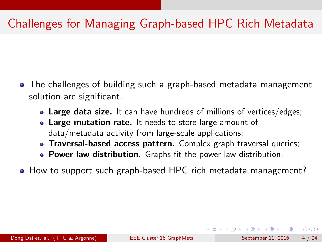# Challenges for Managing Graph-based HPC Rich Metadata

- The challenges of building such a graph-based metadata management solution are significant.
	- Large data size. It can have hundreds of millions of vertices/edges;
	- Large mutation rate. It needs to store large amount of data/metadata activity from large-scale applications;
	- Traversal-based access pattern. Complex graph traversal queries;
	- **Power-law distribution.** Graphs fit the power-law distribution.
- How to support such graph-based HPC rich metadata management?

<span id="page-3-0"></span> $\Omega$ 

イロト イ押ト イヨト イヨト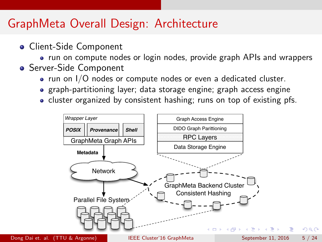## GraphMeta Overall Design: Architecture

- Client-Side Component
	- run on compute nodes or login nodes, provide graph APIs and wrappers
- **Server-Side Component** 
	- run on I/O nodes or compute nodes or even a dedicated cluster.
	- graph-partitioning layer; data storage engine; graph access engine
	- cluster organized by consistent hashing; runs on top of existing pfs.



Dong Dai et. al. (TTU & Argonne) [IEEE Cluster'16 GraphMeta](#page-0-0) September 11, 2016 5 / 24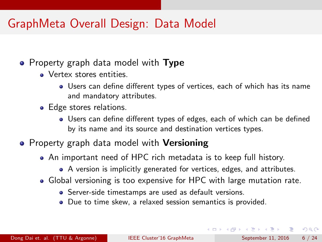### GraphMeta Overall Design: Data Model

#### • Property graph data model with Type

- **•** Vertex stores entities.
	- Users can define different types of vertices, each of which has its name and mandatory attributes.
- Edge stores relations.
	- Users can define different types of edges, each of which can be defined by its name and its source and destination vertices types.
- Property graph data model with Versioning
	- An important need of HPC rich metadata is to keep full history.
		- A version is implicitly generated for vertices, edges, and attributes.
	- Global versioning is too expensive for HPC with large mutation rate.
		- Server-side timestamps are used as default versions.
		- Due to time skew, a relaxed session semantics is provided.

 $\Omega$ 

イロト イ押ト イヨト イヨト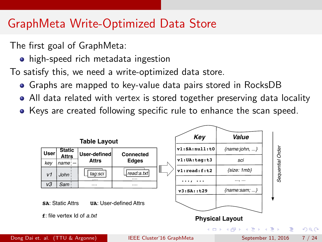## GraphMeta Write-Optimized Data Store

The first goal of GraphMeta:

• high-speed rich metadata ingestion

To satisfy this, we need a write-optimized data store.

- Graphs are mapped to key-value data pairs stored in RocksDB
- All data related with vertex is stored together preserving data locality
- Keys are created following specific rule to enhance the scan speed.

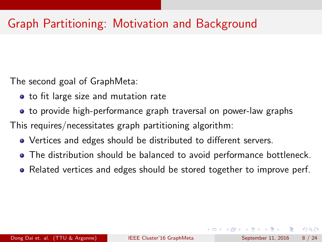# Graph Partitioning: Motivation and Background

The second goal of GraphMeta:

- to fit large size and mutation rate
- to provide high-performance graph traversal on power-law graphs

This requires/necessitates graph partitioning algorithm:

- Vertices and edges should be distributed to different servers.
- The distribution should be balanced to avoid performance bottleneck.
- Related vertices and edges should be stored together to improve perf.

- 39

 $QQ$ 

イロト イ押ト イヨト イヨト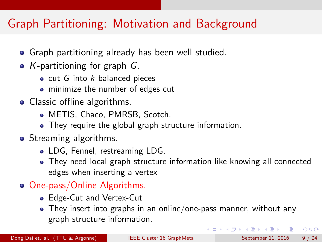# Graph Partitioning: Motivation and Background

- **•** Graph partitioning already has been well studied.
- K-partitioning for graph  $G$ .
	- cut  $G$  into  $k$  balanced pieces
	- minimize the number of edges cut
- Classic offline algorithms.
	- METIS, Chaco, PMRSB, Scotch.
	- They require the global graph structure information.
- Streaming algorithms.
	- LDG, Fennel, restreaming LDG.
	- They need local graph structure information like knowing all connected edges when inserting a vertex
- One-pass/Online Algorithms.
	- Edge-Cut and Vertex-Cut
	- They insert into graphs in an online/one-pass manner, without any graph structure information.

- 3

<span id="page-8-0"></span> $QQQ$ 

イロト イ押ト イヨト イヨト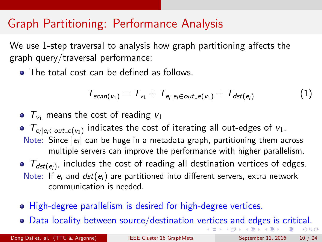## Graph Partitioning: Performance Analysis

We use 1-step traversal to analysis how graph partitioning affects the graph query/traversal performance:

• The total cost can be defined as follows.

<span id="page-9-0"></span>
$$
T_{scan(v_1)} = T_{v_1} + T_{e_i|e_i \in out\_e(v_1)} + T_{dst(e_i)}
$$
 (1)

- $\bullet$   $\tau_{v_1}$  means the cost of reading  $v_1$
- $T_{e_i|e_i \in out_e(v_1)}$  indicates the cost of iterating all out-edges of  $v_1$ . Note: Since  $|e_i|$  can be huge in a metadata graph, partitioning them across multiple servers can improve the performance with higher parallelism.
- $T_{\text{dst}(e_i)}$ , includes the cost of reading all destination vertices of edges. Note: If  $e_i$  and  $dst(e_i)$  are partitioned into different servers, extra network communication is needed.
- High-degree parallelism is desired for high-degree vertices.
- Data locality between source/destination v[ert](#page-8-0)i[ce](#page-10-0)[s](#page-8-0) [an](#page-9-0)[d](#page-10-0) [e](#page-0-0)[dg](#page-23-0)[es](#page-0-0) [is](#page-23-0) [cr](#page-0-0)[itic](#page-23-0)al.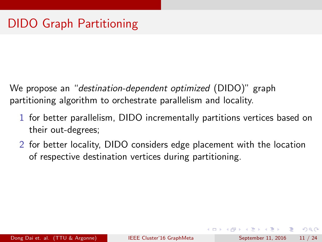We propose an "destination-dependent optimized (DIDO)" graph partitioning algorithm to orchestrate parallelism and locality.

- 1 for better parallelism, DIDO incrementally partitions vertices based on their out-degrees;
- <span id="page-10-0"></span>2 for better locality, DIDO considers edge placement with the location of respective destination vertices during partitioning.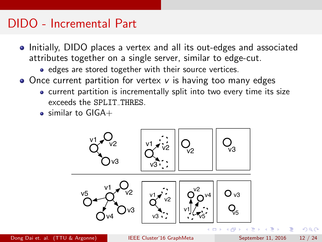## DIDO - Incremental Part

- Initially, DIDO places a vertex and all its out-edges and associated attributes together on a single server, similar to edge-cut.
	- edges are stored together with their source vertices.
- $\bullet$  Once current partition for vertex v is having too many edges
	- current partition is incrementally split into two every time its size exceeds the SPLIT THRES.
	- $\bullet$  similar to GIGA+

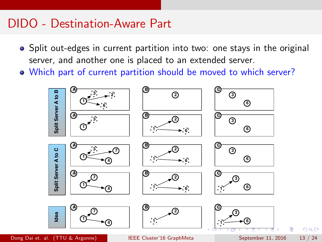### DIDO - Destination-Aware Part

- Split out-edges in current partition into two: one stays in the original server, and another one is placed to an extended server.
- Which part of current partition should be moved to which server?



Dong Dai et. al. (TTU & Argonne) ISBN 0-11-16 GraphMeta September 11, 2016 13 / 24

<span id="page-12-0"></span>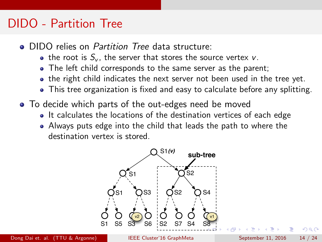#### DIDO - Partition Tree

- **DIDO relies on Partition Tree data structure:** 
	- the root is  $S_v$ , the server that stores the source vertex v.
	- The left child corresponds to the same server as the parent;
	- the right child indicates the next server not been used in the tree yet.
	- This tree organization is fixed and easy to calculate before any splitting.
- To decide which parts of the out-edges need be moved
	- It calculates the locations of the destination vertices of each edge
	- Always puts edge into the child that leads the path to where the destination vertex is stored.

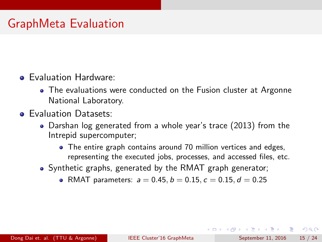# GraphMeta Evaluation

#### Evaluation Hardware:

- The evaluations were conducted on the Fusion cluster at Argonne National Laboratory.
- **Evaluation Datasets:** 
	- Darshan log generated from a whole year's trace (2013) from the Intrepid supercomputer;
		- The entire graph contains around 70 million vertices and edges, representing the executed jobs, processes, and accessed files, etc.
	- Synthetic graphs, generated by the RMAT graph generator;
		- RMAT parameters:  $a = 0.45$ ,  $b = 0.15$ ,  $c = 0.15$ ,  $d = 0.25$

<span id="page-14-0"></span> $QQ$ 

→ 何 ▶ → ヨ ▶ → ヨ ▶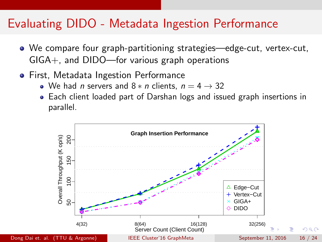## Evaluating DIDO - Metadata Ingestion Performance

- We compare four graph-partitioning strategies—edge-cut, vertex-cut, GIGA+, and DIDO—for various graph operations
- **•** First, Metadata Ingestion Performance
	- We had *n* servers and  $8 * n$  clients,  $n = 4 \rightarrow 32$
	- Each client loaded part of Darshan logs and issued graph insertions in parallel.

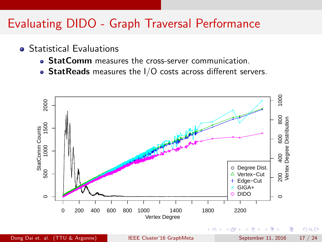## Evaluating DIDO - Graph Traversal Performance

- **•** Statistical Evaluations
	- StatComm measures the cross-server communication.
	- $\bullet$  StatReads measures the I/O costs across different servers.



Dong Dai et. al. (TTU & Argonne) [IEEE Cluster'16 GraphMeta](#page-0-0) September 11, 2016 17 / 24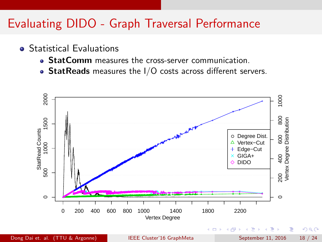## Evaluating DIDO - Graph Traversal Performance

- **•** Statistical Evaluations
	- StatComm measures the cross-server communication.
	- StatReads measures the  $1/O$  costs across different servers.

<span id="page-17-0"></span>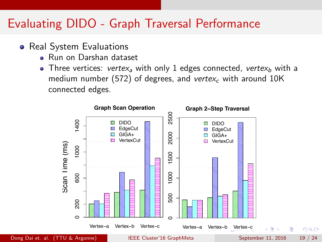## Evaluating DIDO - Graph Traversal Performance

- Real System Evaluations
	- **Bun on Darshan dataset**
	- Three vertices: vertex<sub>a</sub> with only 1 edges connected, vertex<sub>b</sub> with a medium number (572) of degrees, and vertex<sub>c</sub> with around  $10K$ connected edges.

<span id="page-18-0"></span>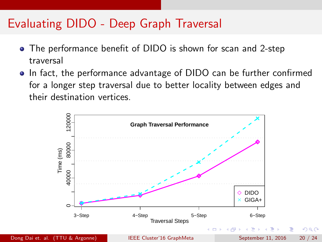## Evaluating DIDO - Deep Graph Traversal

- The performance benefit of DIDO is shown for scan and 2-step traversal
- In fact, the performance advantage of DIDO can be further confirmed for a longer step traversal due to better locality between edges and their destination vertices.



<span id="page-19-0"></span> $200$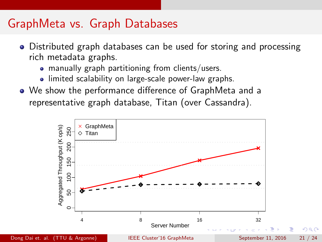### GraphMeta vs. Graph Databases

- Distributed graph databases can be used for storing and processing rich metadata graphs.
	- manually graph partitioning from clients/users.
	- limited scalability on large-scale power-law graphs.
- We show the performance difference of GraphMeta and a representative graph database, Titan (over Cassandra).

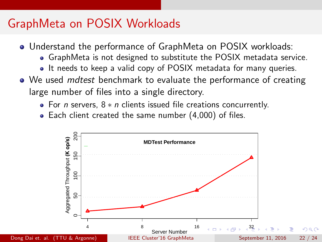# GraphMeta on POSIX Workloads

- Understand the performance of GraphMeta on POSIX workloads:
	- GraphMeta is not designed to substitute the POSIX metadata service.
	- It needs to keep a valid copy of POSIX metadata for many queries.
- We used *mdtest* benchmark to evaluate the performance of creating large number of files into a single directory.
	- For *n* servers,  $8 * n$  clients issued file creations concurrently.
	- Each client created the same number (4,000) of files.

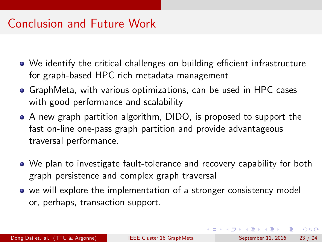# Conclusion and Future Work

- We identify the critical challenges on building efficient infrastructure for graph-based HPC rich metadata management
- GraphMeta, with various optimizations, can be used in HPC cases with good performance and scalability
- A new graph partition algorithm, DIDO, is proposed to support the fast on-line one-pass graph partition and provide advantageous traversal performance.
- We plan to investigate fault-tolerance and recovery capability for both graph persistence and complex graph traversal
- we will explore the implementation of a stronger consistency model or, perhaps, transaction support.